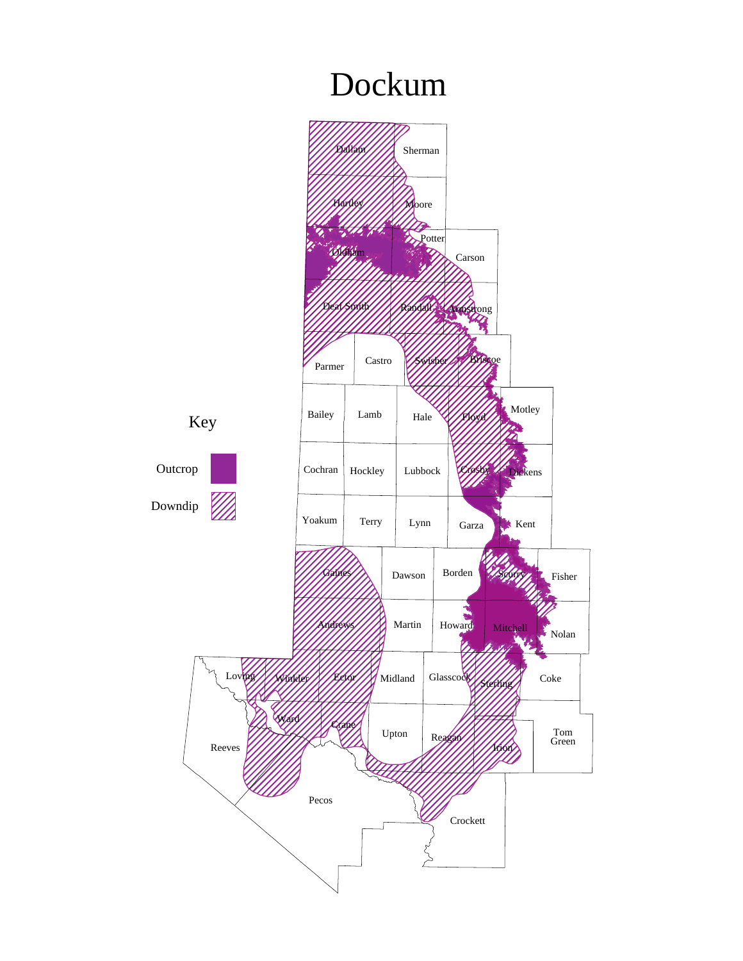## Dockum